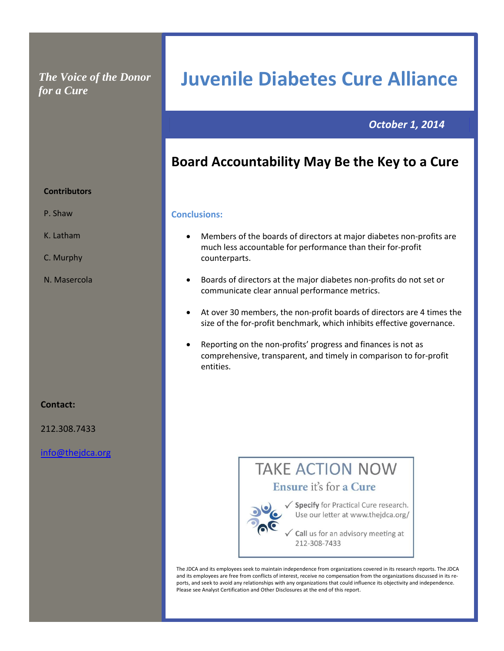### *The Voice of the Donor for a Cure*

### *October 1, 2014*

### **Board Accountability May Be the Key to a Cure**

**Juvenile Diabetes Cure Alliance**

#### **Conclusions:**

- Members of the boards of directors at major diabetes non-profits are much less accountable for performance than their for-profit counterparts.
- Boards of directors at the major diabetes non-profits do not set or communicate clear annual performance metrics.
- At over 30 members, the non-profit boards of directors are 4 times the size of the for-profit benchmark, which inhibits effective governance.
- Reporting on the non-profits' progress and finances is not as comprehensive, transparent, and timely in comparison to for-profit entities.

# **TAKE ACTION NOW** Ensure it's for a Cure

√ Specify for Practical Cure research. Use our letter at www.thejdca.org/

Call us for an advisory meeting at 212-308-7433

The JDCA and its employees seek to maintain independence from organizations covered in its research reports. The JDCA and its employees are free from conflicts of interest, receive no compensation from the organizations discussed in its reports, and seek to avoid any relationships with any organizations that could influence its objectivity and independence. Please see Analyst Certification and Other Disclosures at the end of this report.

#### **Contributors**

- P. Shaw
- K. Latham
- C. Murphy
- N. Masercola

#### **Contact:**

212.308.7433

[info@thejdca.org](mailto:info@thejdca.org)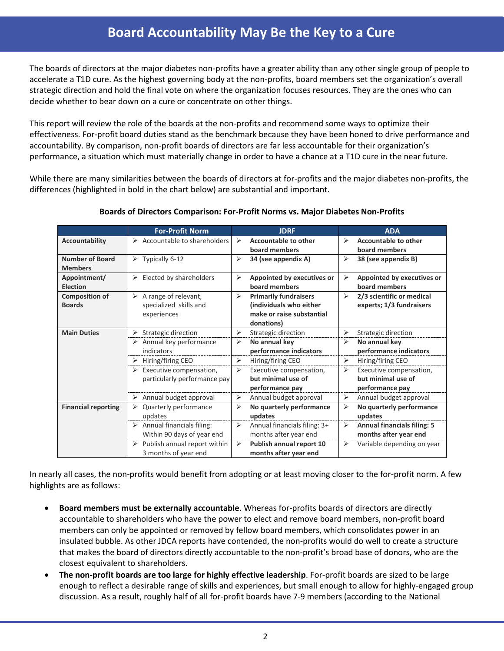# **Board Accountability May Be the Key to a Cure Board Accountability May Be the Key to a Cure**

The boards of directors at the major diabetes non-profits have a greater ability than any other single group of people to accelerate a T1D cure. As the highest governing body at the non-profits, board members set the organization's overall strategic direction and hold the final vote on where the organization focuses resources. They are the ones who can decide whether to bear down on a cure or concentrate on other things.

This report will review the role of the boards at the non-profits and recommend some ways to optimize their effectiveness. For-profit board duties stand as the benchmark because they have been honed to drive performance and accountability. By comparison, non-profit boards of directors are far less accountable for their organization's performance, a situation which must materially change in order to have a chance at a T1D cure in the near future.

While there are many similarities between the boards of directors at for-profits and the major diabetes non-profits, the differences (highlighted in bold in the chart below) are substantial and important.

|                                          | <b>For-Profit Norm</b>                                             | <b>JDRF</b>                                                                                                                 | <b>ADA</b>                                                            |  |
|------------------------------------------|--------------------------------------------------------------------|-----------------------------------------------------------------------------------------------------------------------------|-----------------------------------------------------------------------|--|
| Accountability                           | $\triangleright$ Accountable to shareholders                       | <b>Accountable to other</b><br>⋗<br>board members                                                                           | <b>Accountable to other</b><br>↘<br>board members                     |  |
| <b>Number of Board</b><br><b>Members</b> | $\triangleright$ Typically 6-12                                    | ⋗<br>34 (see appendix A)                                                                                                    | $\blacktriangleright$<br>38 (see appendix B)                          |  |
| Appointment/<br><b>Election</b>          | Elected by shareholders<br>➤                                       | ⋗<br>Appointed by executives or<br>board members                                                                            | Appointed by executives or<br>⋗<br>board members                      |  |
| <b>Composition of</b><br><b>Boards</b>   | A range of relevant,<br>➤<br>specialized skills and<br>experiences | $\blacktriangleright$<br><b>Primarily fundraisers</b><br>(individuals who either<br>make or raise substantial<br>donations) | 2/3 scientific or medical<br>➤<br>experts; 1/3 fundraisers            |  |
| <b>Main Duties</b>                       | $\triangleright$ Strategic direction                               | ➤<br>Strategic direction                                                                                                    | ⋗<br>Strategic direction                                              |  |
|                                          | $\triangleright$ Annual key performance<br>indicators              | ⋗<br>No annual key<br>performance indicators                                                                                | ⋗<br>No annual key<br>performance indicators                          |  |
|                                          | $\triangleright$ Hiring/firing CEO                                 | $\blacktriangleright$<br>Hiring/firing CEO                                                                                  | $\blacktriangleright$<br>Hiring/firing CEO                            |  |
|                                          | Executive compensation,<br>particularly performance pay            | ⋗<br>Executive compensation,<br>but minimal use of<br>performance pay                                                       | Executive compensation,<br>⋗<br>but minimal use of<br>performance pay |  |
|                                          | Annual budget approval<br>➤                                        | Annual budget approval<br>➤                                                                                                 | Annual budget approval<br>➤                                           |  |
| <b>Financial reporting</b>               | Quarterly performance<br>updates                                   | ⋗<br>No quarterly performance<br>updates                                                                                    | No quarterly performance<br>⋗<br>updates                              |  |
|                                          | Annual financials filing:<br>➤<br>Within 90 days of year end       | Annual financials filing: 3+<br>≻<br>months after year end                                                                  | <b>Annual financials filing: 5</b><br>➤<br>months after year end      |  |
|                                          | Publish annual report within<br>3 months of year end               | Publish annual report 10<br>≻<br>months after year end                                                                      | Variable depending on year<br>➤                                       |  |

**Boards of Directors Comparison: For-Profit Norms vs. Major Diabetes Non-Profits**

In nearly all cases, the non-profits would benefit from adopting or at least moving closer to the for-profit norm. A few highlights are as follows:

- **Board members must be externally accountable**. Whereas for-profits boards of directors are directly accountable to shareholders who have the power to elect and remove board members, non-profit board members can only be appointed or removed by fellow board members, which consolidates power in an insulated bubble. As other JDCA reports have contended, the non-profits would do well to create a structure that makes the board of directors directly accountable to the non-profit's broad base of donors, who are the closest equivalent to shareholders.
- **The non-profit boards are too large for highly effective leadership**. For-profit boards are sized to be large enough to reflect a desirable range of skills and experiences, but small enough to allow for highly-engaged group discussion. As a result, roughly half of all for-profit boards have 7-9 members (according to the National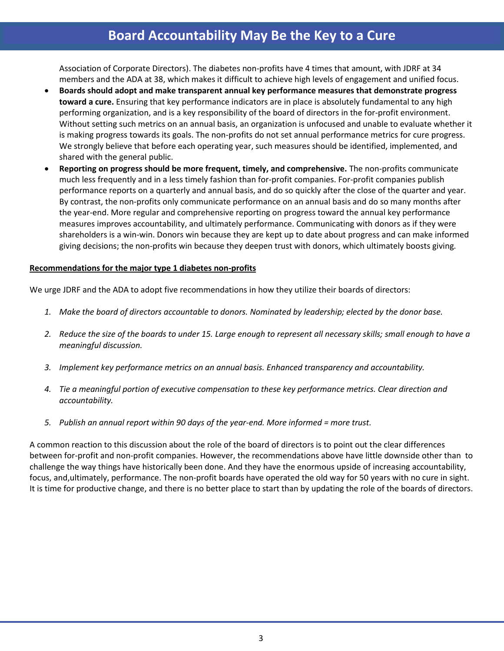# **Board Accountability May Be the Key to a Cure**

Association of Corporate Directors). The diabetes non-profits have 4 times that amount, with JDRF at 34 members and the ADA at 38, which makes it difficult to achieve high levels of engagement and unified focus.

- **Boards should adopt and make transparent annual key performance measures that demonstrate progress toward a cure.** Ensuring that key performance indicators are in place is absolutely fundamental to any high performing organization, and is a key responsibility of the board of directors in the for-profit environment. Without setting such metrics on an annual basis, an organization is unfocused and unable to evaluate whether it is making progress towards its goals. The non-profits do not set annual performance metrics for cure progress. We strongly believe that before each operating year, such measures should be identified, implemented, and shared with the general public.
- **Reporting on progress should be more frequent, timely, and comprehensive.** The non-profits communicate much less frequently and in a less timely fashion than for-profit companies. For-profit companies publish performance reports on a quarterly and annual basis, and do so quickly after the close of the quarter and year. By contrast, the non-profits only communicate performance on an annual basis and do so many months after the year-end. More regular and comprehensive reporting on progress toward the annual key performance measures improves accountability, and ultimately performance. Communicating with donors as if they were shareholders is a win-win. Donors win because they are kept up to date about progress and can make informed giving decisions; the non-profits win because they deepen trust with donors, which ultimately boosts giving.

#### **Recommendations for the major type 1 diabetes non-profits**

We urge JDRF and the ADA to adopt five recommendations in how they utilize their boards of directors:

- *1. Make the board of directors accountable to donors. Nominated by leadership; elected by the donor base.*
- *2. Reduce the size of the boards to under 15. Large enough to represent all necessary skills; small enough to have a meaningful discussion.*
- *3. Implement key performance metrics on an annual basis. Enhanced transparency and accountability.*
- *4. Tie a meaningful portion of executive compensation to these key performance metrics. Clear direction and accountability.*
- *5. Publish an annual report within 90 days of the year-end. More informed = more trust.*

A common reaction to this discussion about the role of the board of directors is to point out the clear differences between for-profit and non-profit companies. However, the recommendations above have little downside other than to challenge the way things have historically been done. And they have the enormous upside of increasing accountability, focus, and,ultimately, performance. The non-profit boards have operated the old way for 50 years with no cure in sight. It is time for productive change, and there is no better place to start than by updating the role of the boards of directors.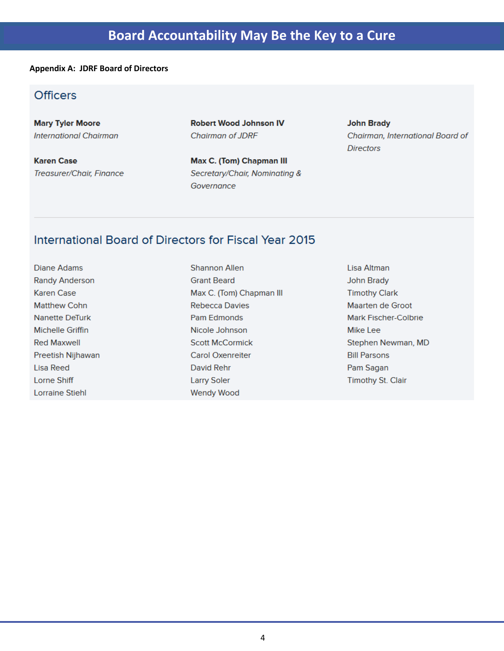#### **Appendix A: JDRF Board of Directors**

### **Officers**

**Mary Tyler Moore International Chairman** 

**Karen Case** Treasurer/Chair, Finance **Robert Wood Johnson IV** Chairman of JDRF

Max C. (Tom) Chapman III Secretary/Chair, Nominating & Governance

#### **John Brady** Chairman, International Board of **Directors**

### International Board of Directors for Fiscal Year 2015

**Diane Adams Randy Anderson Karen Case Matthew Cohn** Nanette DeTurk **Michelle Griffin Red Maxwell** Preetish Nijhawan Lisa Reed Lorne Shiff **Lorraine Stiehl** 

**Shannon Allen Grant Beard** Max C. (Tom) Chapman III **Rebecca Davies** Pam Edmonds Nicole Johnson **Scott McCormick Carol Oxenreiter** David Rehr **Larry Soler Wendy Wood** 

Lisa Altman **John Brady Timothy Clark Maarten de Groot Mark Fischer-Colbrie** Mike Lee Stephen Newman, MD **Bill Parsons** Pam Sagan **Timothy St. Clair**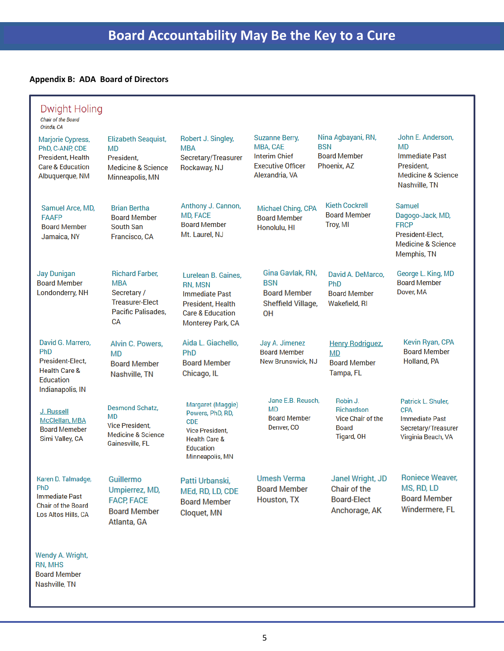#### **Appendix B: ADA Board of Directors**

| <b>Dwight Holing</b><br><b>Chair of the Board</b><br>Orinda, CA                                                    |                                                                                                            |                                                                                                                                                  |                                                                                                         |                                                                           |                                                                                                                      |
|--------------------------------------------------------------------------------------------------------------------|------------------------------------------------------------------------------------------------------------|--------------------------------------------------------------------------------------------------------------------------------------------------|---------------------------------------------------------------------------------------------------------|---------------------------------------------------------------------------|----------------------------------------------------------------------------------------------------------------------|
| <b>Marjorie Cypress,</b><br>PhD, C-ANP, CDE<br>President, Health<br><b>Care &amp; Education</b><br>Albuquerque, NM | Elizabeth Seaquist,<br><b>MD</b><br>President.<br><b>Medicine &amp; Science</b><br>Minneapolis, MN         | Robert J. Singley,<br><b>MBA</b><br>Secretary/Treasurer<br>Rockaway, NJ                                                                          | <b>Suzanne Berry,</b><br>MBA, CAE<br><b>Interim Chief</b><br><b>Executive Officer</b><br>Alexandria, VA | Nina Agbayani, RN,<br><b>BSN</b><br><b>Board Member</b><br>Phoenix, AZ    | John E. Anderson,<br>MD<br><b>Immediate Past</b><br>President.<br><b>Medicine &amp; Science</b><br>Nashville, TN     |
| Samuel Arce, MD,<br><b>FAAFP</b><br><b>Board Member</b><br>Jamaica, NY                                             | <b>Brian Bertha</b><br><b>Board Member</b><br>South San<br>Francisco, CA                                   | Anthony J. Cannon,<br><b>MD, FACE</b><br><b>Board Member</b><br>Mt. Laurel, NJ                                                                   | Michael Ching, CPA<br><b>Board Member</b><br>Honolulu, HI                                               | <b>Kieth Cockrell</b><br><b>Board Member</b><br>Troy, MI                  | <b>Samuel</b><br>Dagogo-Jack, MD,<br><b>FRCP</b><br>President-Elect.<br><b>Medicine &amp; Science</b><br>Memphis, TN |
| <b>Jay Dunigan</b><br><b>Board Member</b><br>Londonderry, NH                                                       | <b>Richard Farber.</b><br><b>MBA</b><br>Secretary /<br><b>Treasurer-Elect</b><br>Pacific Palisades.<br>CА  | Lurelean B. Gaines.<br>RN, MSN<br><b>Immediate Past</b><br>President, Health<br><b>Care &amp; Education</b><br>Monterey Park, CA                 | Gina Gavlak, RN.<br><b>BSN</b><br><b>Board Member</b><br>Sheffield Village,<br>0H                       | David A. DeMarco,<br>PhD<br><b>Board Member</b><br>Wakefield, RI          | George L. King, MD<br><b>Board Member</b><br>Dover, MA                                                               |
| David G. Marrero,<br><b>PhD</b><br>President-Elect,<br><b>Health Care &amp;</b><br>Education<br>Indianapolis, IN   | Alvin C. Powers,<br>MD<br><b>Board Member</b><br>Nashville, TN                                             | Aida L. Giachello,<br>PhD<br><b>Board Member</b><br>Chicago, IL                                                                                  | Jay A. Jimenez<br><b>Board Member</b><br><b>New Brunswick, NJ</b>                                       | <b>Henry Rodriguez</b> ,<br>MD<br><b>Board Member</b><br>Tampa, FL        | Kevin Ryan, CPA<br><b>Board Member</b><br>Holland, PA                                                                |
| J. Russell<br>McClellan, MBA<br><b>Board Memeber</b><br>Simi Valley, CA                                            | <b>Desmond Schatz.</b><br>MD<br><b>Vice President,</b><br><b>Medicine &amp; Science</b><br>Gainesville, FL | Margaret (Maggie)<br>Powers, PhD, RD,<br><b>CDE</b><br><b>Vice President.</b><br><b>Health Care &amp;</b><br><b>Education</b><br>Minneapolis, MN | Jane E.B. Reusch,<br>MD<br><b>Board Member</b><br>Denver, CO                                            | Robin J.<br>Richardson<br>Vice Chair of the<br><b>Board</b><br>Tigard, OH | Patrick L. Shuler,<br><b>CPA</b><br><b>Immediate Past</b><br>Secretary/Treasurer<br>Virginia Beach, VA               |
| Karen D. Talmadge,<br><b>PhD</b><br><b>Immediate Past</b><br><b>Chair of the Board</b><br>Los Altos Hills, CA      | Guillermo<br>Umpierrez, MD,<br><b>FACP, FACE</b><br><b>Board Member</b><br>Atlanta, GA                     | Patti Urbanski,<br>MEd, RD, LD, CDE<br><b>Board Member</b><br>Cloquet, MN                                                                        | <b>Umesh Verma</b><br><b>Board Member</b><br>Houston, TX                                                | Janel Wright, JD<br>Chair of the<br><b>Board-Elect</b><br>Anchorage, AK   | <b>Roniece Weaver,</b><br>MS, RD, LD<br><b>Board Member</b><br>Windermere, FL                                        |

Wendy A. Wright, RN, MHS **Board Member** Nashville, TN